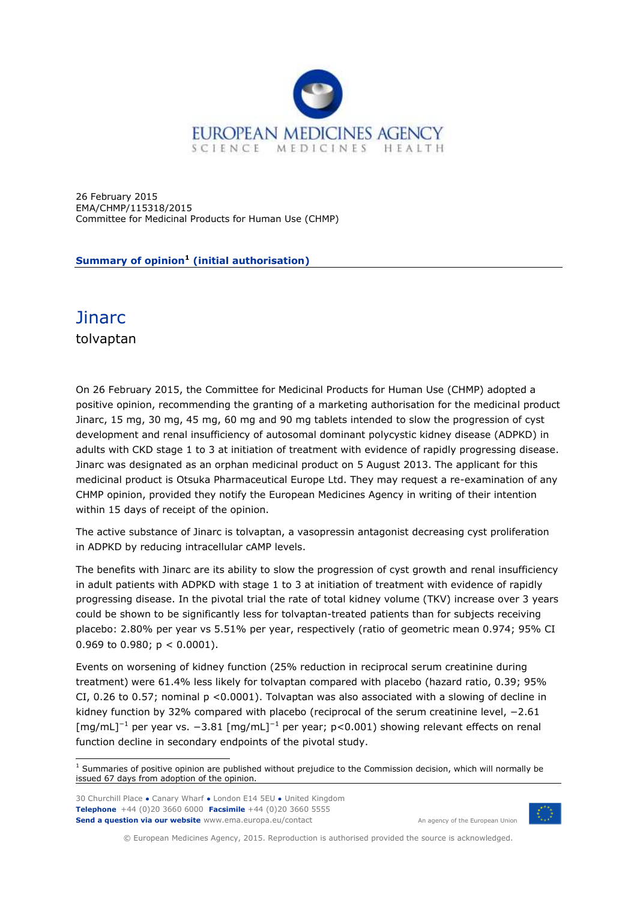

26 February 2015 EMA/CHMP/115318/2015 Committee for Medicinal Products for Human Use (CHMP)

**Summary of opinion<sup>1</sup> (initial authorisation)**

## **Jinarc**

tolvaptan

On 26 February 2015, the Committee for Medicinal Products for Human Use (CHMP) adopted a positive opinion, recommending the granting of a marketing authorisation for the medicinal product Jinarc, 15 mg, 30 mg, 45 mg, 60 mg and 90 mg tablets intended to slow the progression of cyst development and renal insufficiency of autosomal dominant polycystic kidney disease (ADPKD) in adults with CKD stage 1 to 3 at initiation of treatment with evidence of rapidly progressing disease. Jinarc was designated as an orphan medicinal product on 5 August 2013. The applicant for this medicinal product is Otsuka Pharmaceutical Europe Ltd. They may request a re-examination of any CHMP opinion, provided they notify the European Medicines Agency in writing of their intention within 15 days of receipt of the opinion.

The active substance of Jinarc is tolvaptan, a vasopressin antagonist decreasing cyst proliferation in ADPKD by reducing intracellular cAMP levels.

The benefits with Jinarc are its ability to slow the progression of cyst growth and renal insufficiency in adult patients with ADPKD with stage 1 to 3 at initiation of treatment with evidence of rapidly progressing disease. In the pivotal trial the rate of total kidney volume (TKV) increase over 3 years could be shown to be significantly less for tolvaptan-treated patients than for subjects receiving placebo: 2.80% per year vs 5.51% per year, respectively (ratio of geometric mean 0.974; 95% CI 0.969 to 0.980;  $p < 0.0001$ ).

Events on worsening of kidney function (25% reduction in reciprocal serum creatinine during treatment) were 61.4% less likely for tolvaptan compared with placebo (hazard ratio, 0.39; 95% CI, 0.26 to 0.57; nominal p <0.0001). Tolvaptan was also associated with a slowing of decline in kidney function by 32% compared with placebo (reciprocal of the serum creatinine level, −2.61 [mg/mL]<sup>−</sup><sup>1</sup> per year vs. −3.81 [mg/mL]<sup>−</sup><sup>1</sup> per year; p<0.001) showing relevant effects on renal function decline in secondary endpoints of the pivotal study.

30 Churchill Place **●** Canary Wharf **●** London E14 5EU **●** United Kingdom **Telephone** +44 (0)20 3660 6000 **Facsimile** +44 (0)20 3660 5555 **Send a question via our website** www.ema.europa.eu/contact

An agency of the European Union



© European Medicines Agency, 2015. Reproduction is authorised provided the source is acknowledged.

ł  $<sup>1</sup>$  Summaries of positive opinion are published without prejudice to the Commission decision, which will normally be</sup> issued 67 days from adoption of the opinion.